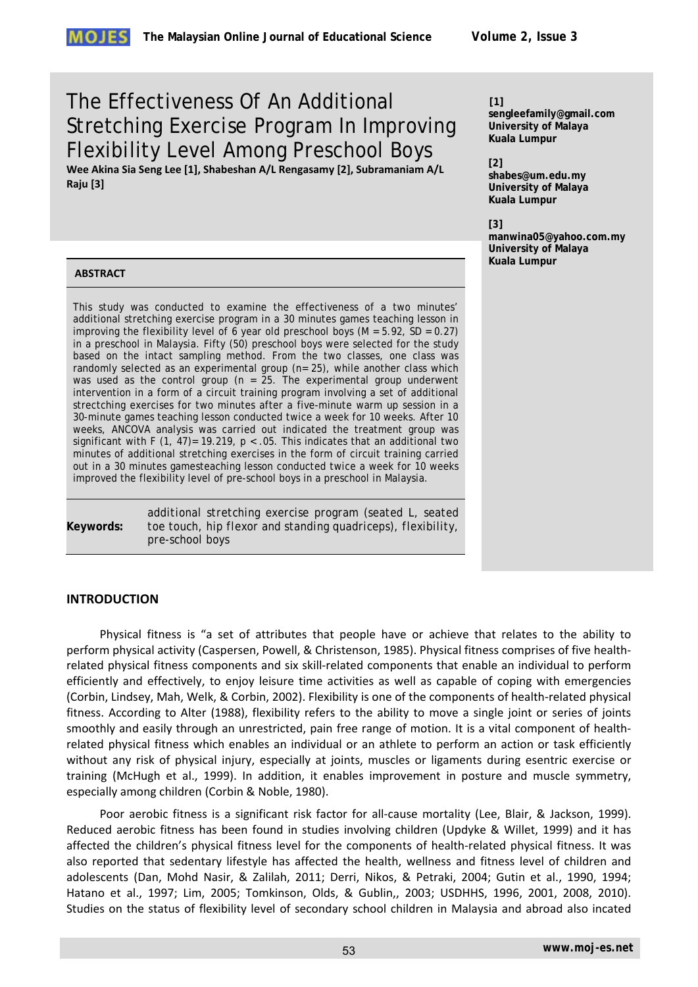# The Effectiveness Of An Additional Stretching Exercise Program In Improving Flexibility Level Among Preschool Boys

**Wee Akina Sia Seng Lee [1], Shabeshan A/L Rengasamy [2], Subramaniam A/L Raju [3]**

## **[1]**

**sengleefamily@gmail.com University of Malaya Kuala Lumpur**

**[2]** 

**shabes@um.edu.my University of Malaya Kuala Lumpur**

**[3]** 

**manwina05@yahoo.com.my University of Malaya Kuala Lumpur**

## **ABSTRACT**

This study was conducted to examine the effectiveness of a two minutes' additional stretching exercise program in a 30 minutes games teaching lesson in improving the flexibility level of 6 year old preschool boys  $(M = 5.92, SD = 0.27)$ in a preschool in Malaysia. Fifty (50) preschool boys were selected for the study based on the intact sampling method. From the two classes, one class was randomly selected as an experimental group (n= 25), while another class which was used as the control group ( $n = 25$ . The experimental group underwent intervention in a form of a circuit training program involving a set of additional strectching exercises for two minutes after a five-minute warm up session in a 30-minute games teaching lesson conducted twice a week for 10 weeks. After 10 weeks, ANCOVA analysis was carried out indicated the treatment group was significant with F (1, 47)= 19.219,  $p < .05$ . This indicates that an additional two minutes of additional stretching exercises in the form of circuit training carried out in a 30 minutes gamesteaching lesson conducted twice a week for 10 weeks improved the flexibility level of pre-school boys in a preschool in Malaysia.

**Keywords:**  *additional stretching exercise program (seated L, seated toe touch, hip flexor and standing quadriceps), flexibility, pre-school boys*

## **INTRODUCTION**

Physical fitness is "a set of attributes that people have or achieve that relates to the ability to perform physical activity (Caspersen, Powell, & Christenson, 1985). Physical fitness comprises of five healthrelated physical fitness components and six skill-related components that enable an individual to perform efficiently and effectively, to enjoy leisure time activities as well as capable of coping with emergencies (Corbin, Lindsey, Mah, Welk, & Corbin, 2002). Flexibility is one of the components of health-related physical fitness. According to Alter (1988), flexibility refers to the ability to move a single joint or series of joints smoothly and easily through an unrestricted, pain free range of motion. It is a vital component of healthrelated physical fitness which enables an individual or an athlete to perform an action or task efficiently without any risk of physical injury, especially at joints, muscles or ligaments during esentric exercise or training (McHugh et al., 1999). In addition, it enables improvement in posture and muscle symmetry, especially among children (Corbin & Noble, 1980).

Poor aerobic fitness is a significant risk factor for all-cause mortality (Lee, Blair, & Jackson, 1999). Reduced aerobic fitness has been found in studies involving children (Updyke & Willet, 1999) and it has affected the children's physical fitness level for the components of health-related physical fitness. It was also reported that sedentary lifestyle has affected the health, wellness and fitness level of children and adolescents (Dan, Mohd Nasir, & Zalilah, 2011; Derri, Nikos, & Petraki, 2004; Gutin et al., 1990, 1994; Hatano et al., 1997; Lim, 2005; Tomkinson, Olds, & Gublin,, 2003; USDHHS, 1996, 2001, 2008, 2010). Studies on the status of flexibility level of secondary school children in Malaysia and abroad also incated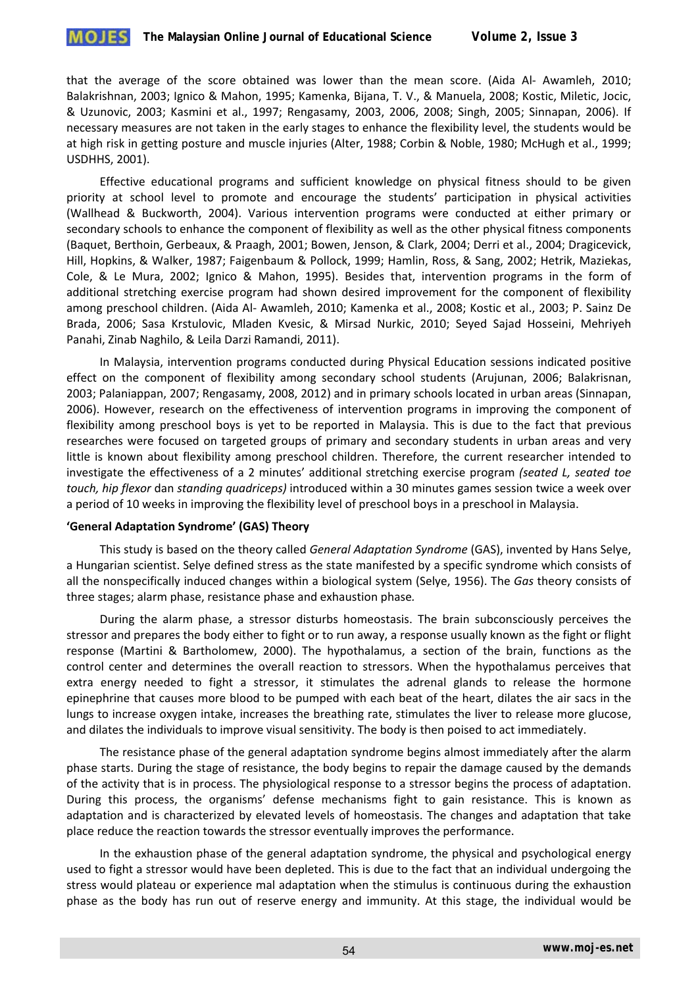

that the average of the score obtained was lower than the mean score. (Aida Al- Awamleh, 2010; Balakrishnan, 2003; Ignico & Mahon, 1995; Kamenka, Bijana, T. V., & Manuela, 2008; Kostic, Miletic, Jocic, & Uzunovic, 2003; Kasmini et al., 1997; Rengasamy, 2003, 2006, 2008; Singh, 2005; Sinnapan, 2006). If necessary measures are not taken in the early stages to enhance the flexibility level, the students would be at high risk in getting posture and muscle injuries (Alter, 1988; Corbin & Noble, 1980; McHugh et al., 1999; USDHHS, 2001).

Effective educational programs and sufficient knowledge on physical fitness should to be given priority at school level to promote and encourage the students' participation in physical activities (Wallhead & Buckworth, 2004). Various intervention programs were conducted at either primary or secondary schools to enhance the component of flexibility as well as the other physical fitness components (Baquet, Berthoin, Gerbeaux, & Praagh, 2001; Bowen, Jenson, & Clark, 2004; Derri et al., 2004; Dragicevick, Hill, Hopkins, & Walker, 1987; Faigenbaum & Pollock, 1999; Hamlin, Ross, & Sang, 2002; Hetrik, Maziekas, Cole, & Le Mura, 2002; Ignico & Mahon, 1995). Besides that, intervention programs in the form of additional stretching exercise program had shown desired improvement for the component of flexibility among preschool children. (Aida Al- Awamleh, 2010; Kamenka et al., 2008; Kostic et al., 2003; P. Sainz De Brada, 2006; Sasa Krstulovic, Mladen Kvesic, & Mirsad Nurkic, 2010; Seyed Sajad Hosseini, Mehriyeh Panahi, Zinab Naghilo, & Leila Darzi Ramandi, 2011).

In Malaysia, intervention programs conducted during Physical Education sessions indicated positive effect on the component of flexibility among secondary school students (Arujunan, 2006; Balakrisnan, 2003; Palaniappan, 2007; Rengasamy, 2008, 2012) and in primary schools located in urban areas (Sinnapan, 2006). However, research on the effectiveness of intervention programs in improving the component of flexibility among preschool boys is yet to be reported in Malaysia. This is due to the fact that previous researches were focused on targeted groups of primary and secondary students in urban areas and very little is known about flexibility among preschool children. Therefore, the current researcher intended to investigate the effectiveness of a 2 minutes' additional stretching exercise program *(seated L, seated toe touch, hip flexor* dan *standing quadriceps)* introduced within a 30 minutes games session twice a week over a period of 10 weeks in improving the flexibility level of preschool boys in a preschool in Malaysia.

## **'General Adaptation Syndrome' (GAS) Theory**

This study is based on the theory called *General Adaptation Syndrome* (GAS), invented by Hans Selye, a Hungarian scientist. Selye defined stress as the state manifested by a specific syndrome which consists of all the nonspecifically induced changes within a biological system (Selye, 1956). The *Gas* theory consists of three stages; alarm phase, resistance phase and exhaustion phase*.* 

During the alarm phase, a stressor disturbs homeostasis. The brain subconsciously perceives the stressor and prepares the body either to fight or to run away, a response usually known as the fight or flight response (Martini & Bartholomew, 2000). The hypothalamus, a section of the brain, functions as the control center and determines the overall reaction to stressors. When the hypothalamus perceives that extra energy needed to fight a stressor, it stimulates the adrenal glands to release the hormone epinephrine that causes more blood to be pumped with each beat of the heart, dilates the air sacs in the lungs to increase oxygen intake, increases the breathing rate, stimulates the liver to release more glucose, and dilates the individuals to improve visual sensitivity. The body is then poised to act immediately.

The resistance phase of the general adaptation syndrome begins almost immediately after the alarm phase starts. During the stage of resistance, the body begins to repair the damage caused by the demands of the activity that is in process. The physiological response to a stressor begins the process of adaptation. During this process, the organisms' defense mechanisms fight to gain resistance. This is known as adaptation and is characterized by elevated levels of homeostasis. The changes and adaptation that take place reduce the reaction towards the stressor eventually improves the performance.

In the exhaustion phase of the general adaptation syndrome, the physical and psychological energy used to fight a stressor would have been depleted. This is due to the fact that an individual undergoing the stress would plateau or experience mal adaptation when the stimulus is continuous during the exhaustion phase as the body has run out of reserve energy and immunity. At this stage, the individual would be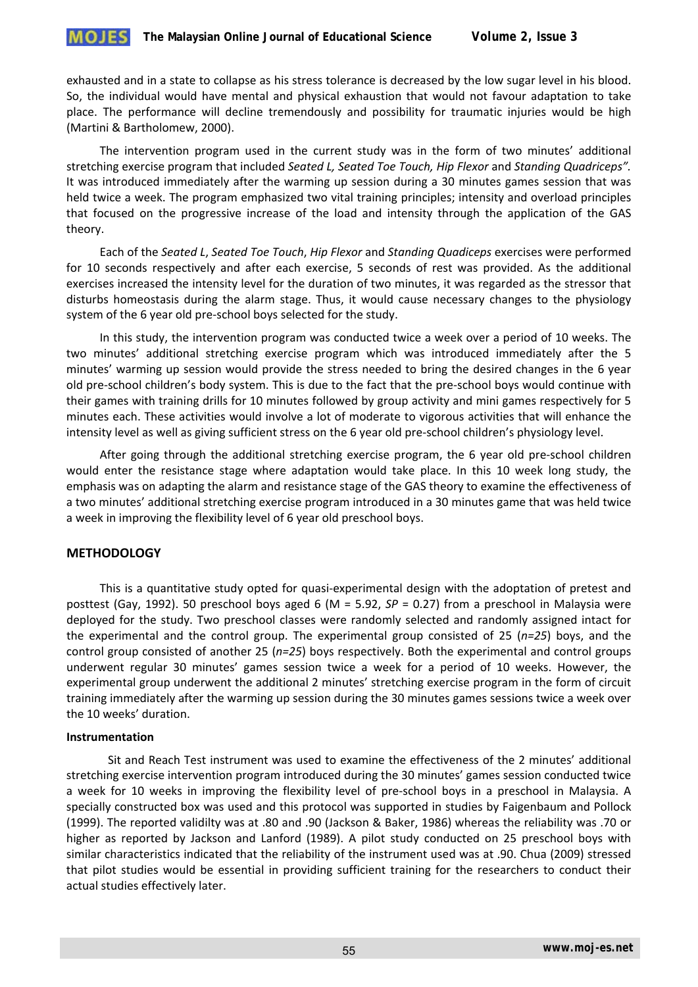exhausted and in a state to collapse as his stress tolerance is decreased by the low sugar level in his blood. So, the individual would have mental and physical exhaustion that would not favour adaptation to take place. The performance will decline tremendously and possibility for traumatic injuries would be high (Martini & Bartholomew, 2000).

The intervention program used in the current study was in the form of two minutes' additional stretching exercise program that included *Seated L, Seated Toe Touch, Hip Flexor* and *Standing Quadriceps".*  It was introduced immediately after the warming up session during a 30 minutes games session that was held twice a week. The program emphasized two vital training principles; intensity and overload principles that focused on the progressive increase of the load and intensity through the application of the GAS theory.

Each of the *Seated L*, *Seated Toe Touch*, *Hip Flexor* and *Standing Quadiceps* exercises were performed for 10 seconds respectively and after each exercise, 5 seconds of rest was provided. As the additional exercises increased the intensity level for the duration of two minutes, it was regarded as the stressor that disturbs homeostasis during the alarm stage. Thus, it would cause necessary changes to the physiology system of the 6 year old pre-school boys selected for the study.

In this study, the intervention program was conducted twice a week over a period of 10 weeks. The two minutes' additional stretching exercise program which was introduced immediately after the 5 minutes' warming up session would provide the stress needed to bring the desired changes in the 6 year old pre-school children's body system. This is due to the fact that the pre-school boys would continue with their games with training drills for 10 minutes followed by group activity and mini games respectively for 5 minutes each. These activities would involve a lot of moderate to vigorous activities that will enhance the intensity level as well as giving sufficient stress on the 6 year old pre-school children's physiology level.

After going through the additional stretching exercise program, the 6 year old pre-school children would enter the resistance stage where adaptation would take place. In this 10 week long study, the emphasis was on adapting the alarm and resistance stage of the GAS theory to examine the effectiveness of a two minutes' additional stretching exercise program introduced in a 30 minutes game that was held twice a week in improving the flexibility level of 6 year old preschool boys.

## **METHODOLOGY**

This is a quantitative study opted for quasi-experimental design with the adoptation of pretest and posttest (Gay, 1992). 50 preschool boys aged 6 (M = 5.92, *SP* = 0.27) from a preschool in Malaysia were deployed for the study. Two preschool classes were randomly selected and randomly assigned intact for the experimental and the control group. The experimental group consisted of 25 (*n=25*) boys, and the control group consisted of another 25 (*n=25*) boys respectively. Both the experimental and control groups underwent regular 30 minutes' games session twice a week for a period of 10 weeks. However, the experimental group underwent the additional 2 minutes' stretching exercise program in the form of circuit training immediately after the warming up session during the 30 minutes games sessions twice a week over the 10 weeks' duration.

## **Instrumentation**

Sit and Reach Test instrument was used to examine the effectiveness of the 2 minutes' additional stretching exercise intervention program introduced during the 30 minutes' games session conducted twice a week for 10 weeks in improving the flexibility level of pre-school boys in a preschool in Malaysia. A specially constructed box was used and this protocol was supported in studies by Faigenbaum and Pollock (1999). The reported validilty was at .80 and .90 (Jackson & Baker, 1986) whereas the reliability was .70 or higher as reported by Jackson and Lanford (1989). A pilot study conducted on 25 preschool boys with similar characteristics indicated that the reliability of the instrument used was at .90. Chua (2009) stressed that pilot studies would be essential in providing sufficient training for the researchers to conduct their actual studies effectively later.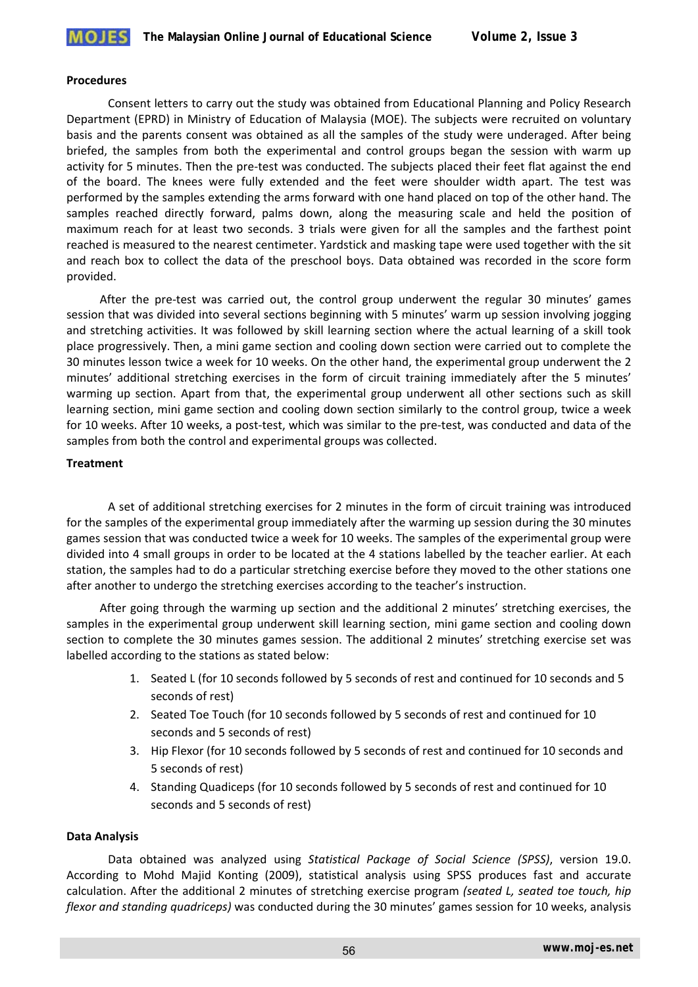

#### **Procedures**

Consent letters to carry out the study was obtained from Educational Planning and Policy Research Department (EPRD) in Ministry of Education of Malaysia (MOE). The subjects were recruited on voluntary basis and the parents consent was obtained as all the samples of the study were underaged. After being briefed, the samples from both the experimental and control groups began the session with warm up activity for 5 minutes. Then the pre-test was conducted. The subjects placed their feet flat against the end of the board. The knees were fully extended and the feet were shoulder width apart. The test was performed by the samples extending the arms forward with one hand placed on top of the other hand. The samples reached directly forward, palms down, along the measuring scale and held the position of maximum reach for at least two seconds. 3 trials were given for all the samples and the farthest point reached is measured to the nearest centimeter. Yardstick and masking tape were used together with the sit and reach box to collect the data of the preschool boys. Data obtained was recorded in the score form provided.

After the pre-test was carried out, the control group underwent the regular 30 minutes' games session that was divided into several sections beginning with 5 minutes' warm up session involving jogging and stretching activities. It was followed by skill learning section where the actual learning of a skill took place progressively. Then, a mini game section and cooling down section were carried out to complete the 30 minutes lesson twice a week for 10 weeks. On the other hand, the experimental group underwent the 2 minutes' additional stretching exercises in the form of circuit training immediately after the 5 minutes' warming up section. Apart from that, the experimental group underwent all other sections such as skill learning section, mini game section and cooling down section similarly to the control group, twice a week for 10 weeks. After 10 weeks, a post-test, which was similar to the pre-test, was conducted and data of the samples from both the control and experimental groups was collected.

## **Treatment**

A set of additional stretching exercises for 2 minutes in the form of circuit training was introduced for the samples of the experimental group immediately after the warming up session during the 30 minutes games session that was conducted twice a week for 10 weeks. The samples of the experimental group were divided into 4 small groups in order to be located at the 4 stations labelled by the teacher earlier. At each station, the samples had to do a particular stretching exercise before they moved to the other stations one after another to undergo the stretching exercises according to the teacher's instruction.

After going through the warming up section and the additional 2 minutes' stretching exercises, the samples in the experimental group underwent skill learning section, mini game section and cooling down section to complete the 30 minutes games session. The additional 2 minutes' stretching exercise set was labelled according to the stations as stated below:

- 1. Seated L (for 10 seconds followed by 5 seconds of rest and continued for 10 seconds and 5 seconds of rest)
- 2. Seated Toe Touch (for 10 seconds followed by 5 seconds of rest and continued for 10 seconds and 5 seconds of rest)
- 3. Hip Flexor (for 10 seconds followed by 5 seconds of rest and continued for 10 seconds and 5 seconds of rest)
- 4. Standing Quadiceps (for 10 seconds followed by 5 seconds of rest and continued for 10 seconds and 5 seconds of rest)

## **Data Analysis**

Data obtained was analyzed using *Statistical Package of Social Science (SPSS)*, version 19.0. According to Mohd Majid Konting (2009), statistical analysis using SPSS produces fast and accurate calculation. After the additional 2 minutes of stretching exercise program *(seated L, seated toe touch, hip flexor and standing quadriceps)* was conducted during the 30 minutes' games session for 10 weeks, analysis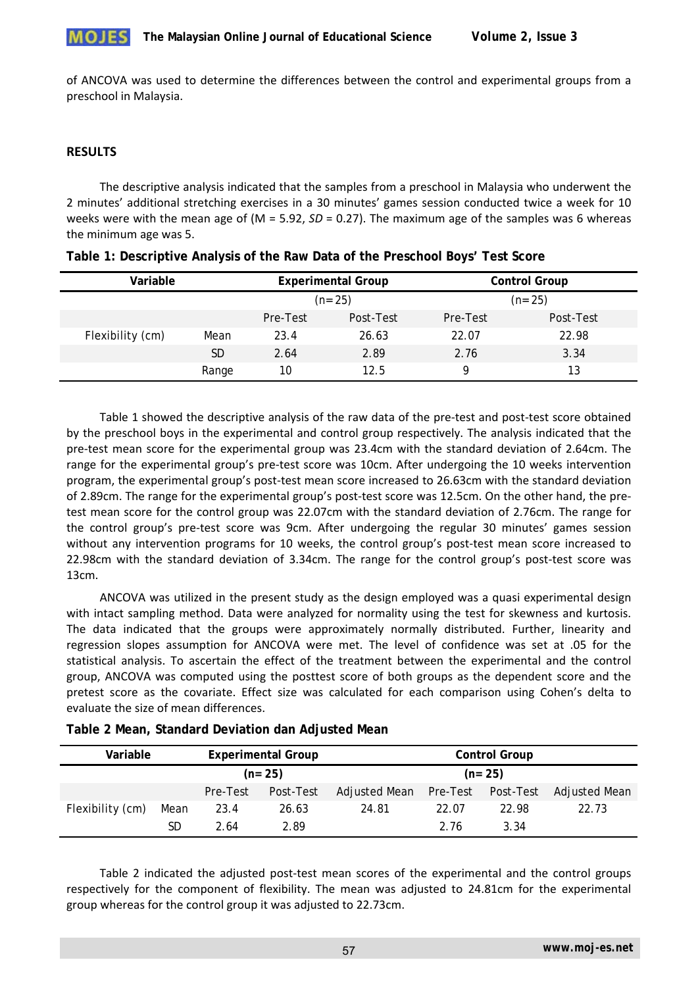

of ANCOVA was used to determine the differences between the control and experimental groups from a preschool in Malaysia.

## **RESULTS**

The descriptive analysis indicated that the samples from a preschool in Malaysia who underwent the 2 minutes' additional stretching exercises in a 30 minutes' games session conducted twice a week for 10 weeks were with the mean age of (M = 5.92, *SD* = 0.27). The maximum age of the samples was 6 whereas the minimum age was 5.

| Variable         |       |          | <b>Experimental Group</b> |          | <b>Control Group</b> |  |  |
|------------------|-------|----------|---------------------------|----------|----------------------|--|--|
|                  |       | $(n=25)$ |                           |          | $(n=25)$             |  |  |
|                  |       | Pre-Test | Post-Test                 | Pre-Test | Post-Test            |  |  |
| Flexibility (cm) | Mean  | 23.4     | 26.63                     | 22.07    | 22.98                |  |  |
|                  | SD    | 2.64     | 2.89                      | 2.76     | 3.34                 |  |  |
|                  | Range | 10       | 12.5                      | Q        | 13                   |  |  |

Table 1 showed the descriptive analysis of the raw data of the pre-test and post-test score obtained by the preschool boys in the experimental and control group respectively. The analysis indicated that the pre-test mean score for the experimental group was 23.4cm with the standard deviation of 2.64cm. The range for the experimental group's pre-test score was 10cm. After undergoing the 10 weeks intervention program, the experimental group's post-test mean score increased to 26.63cm with the standard deviation of 2.89cm. The range for the experimental group's post-test score was 12.5cm. On the other hand, the pretest mean score for the control group was 22.07cm with the standard deviation of 2.76cm. The range for the control group's pre-test score was 9cm. After undergoing the regular 30 minutes' games session without any intervention programs for 10 weeks, the control group's post-test mean score increased to 22.98cm with the standard deviation of 3.34cm. The range for the control group's post-test score was 13cm.

ANCOVA was utilized in the present study as the design employed was a quasi experimental design with intact sampling method. Data were analyzed for normality using the test for skewness and kurtosis. The data indicated that the groups were approximately normally distributed. Further, linearity and regression slopes assumption for ANCOVA were met. The level of confidence was set at .05 for the statistical analysis. To ascertain the effect of the treatment between the experimental and the control group, ANCOVA was computed using the posttest score of both groups as the dependent score and the pretest score as the covariate. Effect size was calculated for each comparison using Cohen's delta to evaluate the size of mean differences.

| Variable         |      | <b>Experimental Group</b> |           |               | <b>Control Group</b> |           |               |
|------------------|------|---------------------------|-----------|---------------|----------------------|-----------|---------------|
|                  |      | $(n=25)$                  |           |               | $(n=25)$             |           |               |
|                  |      | Pre-Test                  | Post-Test | Adjusted Mean | Pre-Test             | Post-Test | Adjusted Mean |
| Flexibility (cm) | Mean | 23.4                      | 26.63     | 24.81         | 22.07                | 22.98     | 22.73         |
|                  | SD   | 2.64                      | 2.89      |               | 2.76                 | 3.34      |               |

**Table 2 Mean, Standard Deviation dan Adjusted Mean**

Table 2 indicated the adjusted post-test mean scores of the experimental and the control groups respectively for the component of flexibility. The mean was adjusted to 24.81cm for the experimental group whereas for the control group it was adjusted to 22.73cm.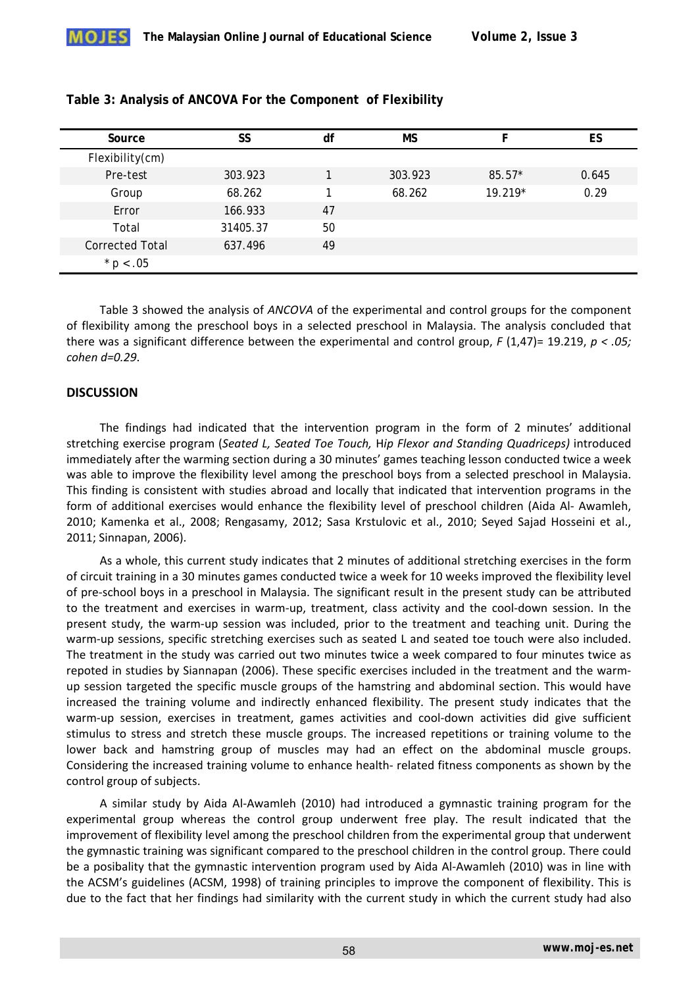| Source                 | SS       | df | <b>MS</b> |           | ES    |
|------------------------|----------|----|-----------|-----------|-------|
| Flexibility(cm)        |          |    |           |           |       |
| Pre-test               | 303.923  |    | 303.923   | $85.57*$  | 0.645 |
| Group                  | 68.262   |    | 68.262    | $19.219*$ | 0.29  |
| Error                  | 166.933  | 47 |           |           |       |
| Total                  | 31405.37 | 50 |           |           |       |
| <b>Corrected Total</b> | 637.496  | 49 |           |           |       |
| * $p < .05$            |          |    |           |           |       |

|  | Table 3: Analysis of ANCOVA For the Component of Flexibility |  |
|--|--------------------------------------------------------------|--|
|  |                                                              |  |

Table 3 showed the analysis of *ANCOVA* of the experimental and control groups for the component of flexibility among the preschool boys in a selected preschool in Malaysia. The analysis concluded that there was a significant difference between the experimental and control group, *F* (1,47)= 19.219, *p < .05; cohen d=0.29*.

## **DISCUSSION**

The findings had indicated that the intervention program in the form of 2 minutes' additional stretching exercise program (*Seated L, Seated Toe Touch,* H*ip Flexor and Standing Quadriceps)* introduced immediately after the warming section during a 30 minutes' games teaching lesson conducted twice a week was able to improve the flexibility level among the preschool boys from a selected preschool in Malaysia. This finding is consistent with studies abroad and locally that indicated that intervention programs in the form of additional exercises would enhance the flexibility level of preschool children (Aida Al- Awamleh, 2010; Kamenka et al., 2008; Rengasamy, 2012; Sasa Krstulovic et al., 2010; Seyed Sajad Hosseini et al., 2011; Sinnapan, 2006).

As a whole, this current study indicates that 2 minutes of additional stretching exercises in the form of circuit training in a 30 minutes games conducted twice a week for 10 weeks improved the flexibility level of pre-school boys in a preschool in Malaysia. The significant result in the present study can be attributed to the treatment and exercises in warm-up, treatment, class activity and the cool-down session. In the present study, the warm-up session was included, prior to the treatment and teaching unit. During the warm-up sessions, specific stretching exercises such as seated L and seated toe touch were also included. The treatment in the study was carried out two minutes twice a week compared to four minutes twice as repoted in studies by Siannapan (2006). These specific exercises included in the treatment and the warmup session targeted the specific muscle groups of the hamstring and abdominal section. This would have increased the training volume and indirectly enhanced flexibility. The present study indicates that the warm-up session, exercises in treatment, games activities and cool-down activities did give sufficient stimulus to stress and stretch these muscle groups. The increased repetitions or training volume to the lower back and hamstring group of muscles may had an effect on the abdominal muscle groups. Considering the increased training volume to enhance health- related fitness components as shown by the control group of subjects.

A similar study by Aida Al-Awamleh (2010) had introduced a gymnastic training program for the experimental group whereas the control group underwent free play. The result indicated that the improvement of flexibility level among the preschool children from the experimental group that underwent the gymnastic training was significant compared to the preschool children in the control group. There could be a posibality that the gymnastic intervention program used by Aida Al-Awamleh (2010) was in line with the ACSM's guidelines (ACSM, 1998) of training principles to improve the component of flexibility. This is due to the fact that her findings had similarity with the current study in which the current study had also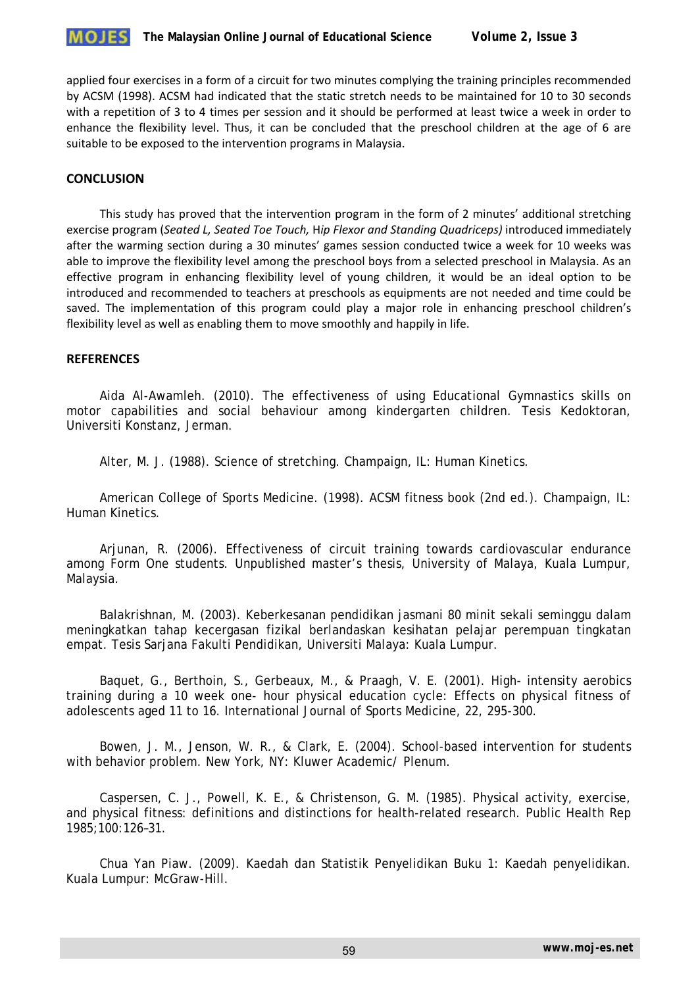

applied four exercises in a form of a circuit for two minutes complying the training principles recommended by ACSM (1998). ACSM had indicated that the static stretch needs to be maintained for 10 to 30 seconds with a repetition of 3 to 4 times per session and it should be performed at least twice a week in order to enhance the flexibility level. Thus, it can be concluded that the preschool children at the age of 6 are suitable to be exposed to the intervention programs in Malaysia.

## **CONCLUSION**

This study has proved that the intervention program in the form of 2 minutes' additional stretching exercise program (*Seated L, Seated Toe Touch,* H*ip Flexor and Standing Quadriceps)* introduced immediately after the warming section during a 30 minutes' games session conducted twice a week for 10 weeks was able to improve the flexibility level among the preschool boys from a selected preschool in Malaysia. As an effective program in enhancing flexibility level of young children, it would be an ideal option to be introduced and recommended to teachers at preschools as equipments are not needed and time could be saved. The implementation of this program could play a major role in enhancing preschool children's flexibility level as well as enabling them to move smoothly and happily in life.

## **REFERENCES**

Aida Al-Awamleh. (2010). The effectiveness of using Educational Gymnastics skills on motor capabilities and social behaviour among kindergarten children. Tesis Kedoktoran, Universiti Konstanz, Jerman.

Alter, M. J. (1988). Science of stretching. Champaign, IL: Human Kinetics.

American College of Sports Medicine. (1998). ACSM fitness book (2nd ed.). Champaign, IL: Human Kinetics.

Arjunan, R. (2006). Effectiveness of circuit training towards cardiovascular endurance among Form One students. Unpublished master's thesis, University of Malaya, Kuala Lumpur, Malaysia.

Balakrishnan, M. (2003). Keberkesanan pendidikan jasmani 80 minit sekali seminggu dalam meningkatkan tahap kecergasan fizikal berlandaskan kesihatan pelajar perempuan tingkatan empat. Tesis Sarjana Fakulti Pendidikan, Universiti Malaya: Kuala Lumpur.

Baquet, G., Berthoin, S., Gerbeaux, M., & Praagh, V. E. (2001). High- intensity aerobics training during a 10 week one- hour physical education cycle: Effects on physical fitness of adolescents aged 11 to 16. International Journal of Sports Medicine, 22, 295-300.

Bowen, J. M., Jenson, W. R., & Clark, E. (2004). School-based intervention for students with behavior problem. New York, NY: Kluwer Academic/ Plenum.

Caspersen, C. J., Powell, K. E., & Christenson, G. M. (1985). Physical activity, exercise, and physical fitness: definitions and distinctions for health-related research. Public Health Rep 1985;100:126–31.

Chua Yan Piaw. (2009). Kaedah dan Statistik Penyelidikan Buku 1: Kaedah penyelidikan. Kuala Lumpur: McGraw-Hill.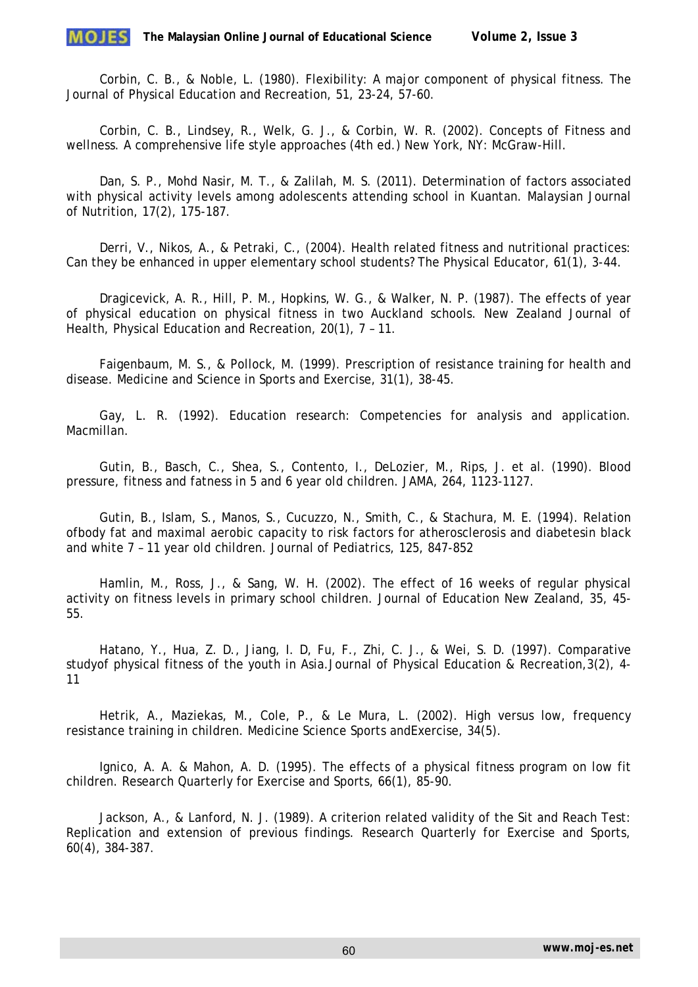Corbin, C. B., & Noble, L. (1980). Flexibility: A major component of physical fitness. The Journal of Physical Education and Recreation, 51, 23-24, 57-60.

Corbin, C. B., Lindsey, R., Welk, G. J., & Corbin, W. R. (2002). Concepts of Fitness and wellness. A comprehensive life style approaches (4th ed.) New York, NY: McGraw-Hill.

Dan, S. P., Mohd Nasir, M. T., & Zalilah, M. S. (2011). Determination of factors associated with physical activity levels among adolescents attending school in Kuantan. Malaysian Journal of Nutrition, 17(2), 175-187.

Derri, V., Nikos, A., & Petraki, C., (2004). Health related fitness and nutritional practices: Can they be enhanced in upper elementary school students? The Physical Educator, 61(1), 3-44.

Dragicevick, A. R., Hill, P. M., Hopkins, W. G., & Walker, N. P. (1987). The effects of year of physical education on physical fitness in two Auckland schools. New Zealand Journal of Health, Physical Education and Recreation, 20(1), 7 – 11.

Faigenbaum, M. S., & Pollock, M. (1999). Prescription of resistance training for health and disease. Medicine and Science in Sports and Exercise, 31(1), 38-45.

Gay, L. R. (1992). Education research: Competencies for analysis and application. Macmillan.

Gutin, B., Basch, C., Shea, S., Contento, I., DeLozier, M., Rips, J. et al. (1990). Blood pressure, fitness and fatness in 5 and 6 year old children. JAMA, 264, 1123-1127.

Gutin, B., Islam, S., Manos, S., Cucuzzo, N., Smith, C., & Stachura, M. E. (1994). Relation ofbody fat and maximal aerobic capacity to risk factors for atherosclerosis and diabetesin black and white 7 – 11 year old children. Journal of Pediatrics, 125, 847-852

Hamlin, M., Ross, J., & Sang, W. H. (2002). The effect of 16 weeks of regular physical activity on fitness levels in primary school children. Journal of Education New Zealand, 35, 45- 55.

Hatano, Y., Hua, Z. D., Jiang, I. D, Fu, F., Zhi, C. J., & Wei, S. D. (1997). Comparative studyof physical fitness of the youth in Asia.Journal of Physical Education & Recreation,3(2), 4- 11

Hetrik, A., Maziekas, M., Cole, P., & Le Mura, L. (2002). High versus low, frequency resistance training in children. Medicine Science Sports andExercise, 34(5).

Ignico, A. A. & Mahon, A. D. (1995). The effects of a physical fitness program on low fit children. Research Quarterly for Exercise and Sports, 66(1), 85-90.

Jackson, A., & Lanford, N. J. (1989). A criterion related validity of the Sit and Reach Test: Replication and extension of previous findings. Research Quarterly for Exercise and Sports, 60(4), 384-387.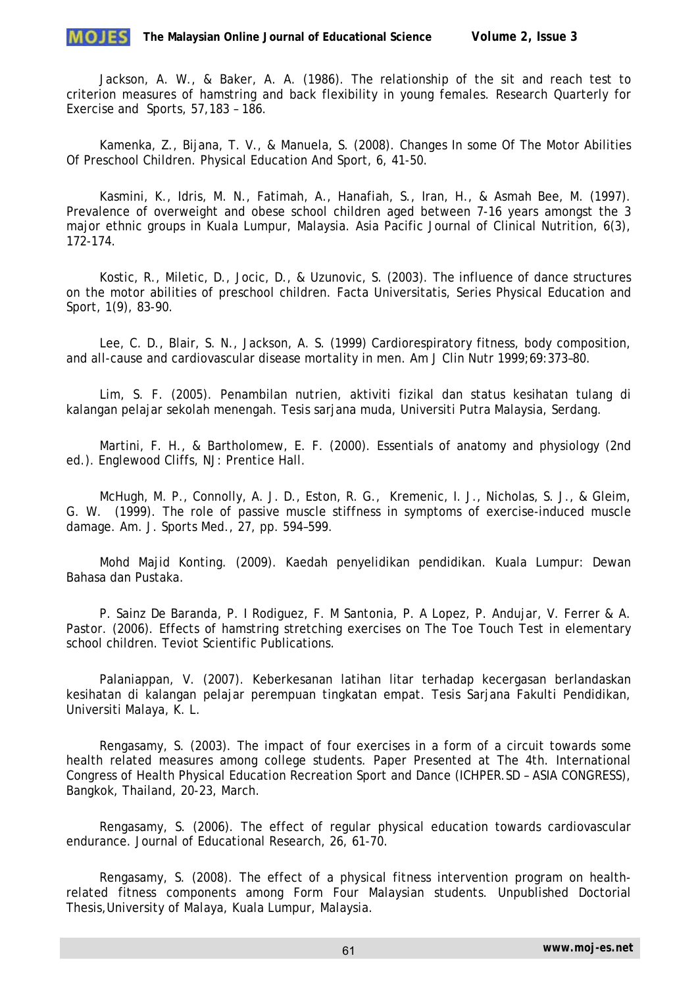

Jackson, A. W., & Baker, A. A. (1986). The relationship of the sit and reach test to criterion measures of hamstring and back flexibility in young females. Research Quarterly for Exercise and Sports, 57,183 – 186.

Kamenka, Z., Bijana, T. V., & Manuela, S. (2008). Changes In some Of The Motor Abilities Of Preschool Children. Physical Education And Sport, 6, 41-50.

Kasmini, K., Idris, M. N., Fatimah, A., Hanafiah, S., Iran, H., & Asmah Bee, M. (1997). Prevalence of overweight and obese school children aged between 7-16 years amongst the 3 major ethnic groups in Kuala Lumpur, Malaysia. Asia Pacific Journal of Clinical Nutrition, 6(3), 172-174.

Kostic, R., Miletic, D., Jocic, D., & Uzunovic, S. (2003). The influence of dance structures on the motor abilities of preschool children. Facta Universitatis, Series Physical Education and Sport, 1(9), 83-90.

Lee, C. D., Blair, S. N., Jackson, A. S. (1999) Cardiorespiratory fitness, body composition, and all-cause and cardiovascular disease mortality in men. Am J Clin Nutr 1999;69:373–80.

Lim, S. F. (2005). Penambilan nutrien, aktiviti fizikal dan status kesihatan tulang di kalangan pelajar sekolah menengah. Tesis sarjana muda, Universiti Putra Malaysia, Serdang.

Martini, F. H., & Bartholomew, E. F. (2000). Essentials of anatomy and physiology (2nd ed.). Englewood Cliffs, NJ: Prentice Hall.

McHugh, M. P., Connolly, A. J. D., Eston, R. G., Kremenic, I. J., Nicholas, S. J., & Gleim, G. W. (1999). The role of passive muscle stiffness in symptoms of exercise-induced muscle damage. Am. J. Sports Med., 27, pp. 594–599.

Mohd Majid Konting. (2009). Kaedah penyelidikan pendidikan. Kuala Lumpur: Dewan Bahasa dan Pustaka.

P. Sainz De Baranda, P. I Rodiguez, F. M Santonia, P. A Lopez, P. Andujar, V. Ferrer & A. Pastor. (2006). Effects of hamstring stretching exercises on The Toe Touch Test in elementary school children. Teviot Scientific Publications.

Palaniappan, V. (2007). Keberkesanan latihan litar terhadap kecergasan berlandaskan kesihatan di kalangan pelajar perempuan tingkatan empat. Tesis Sarjana Fakulti Pendidikan, Universiti Malaya, K. L.

Rengasamy, S. (2003). The impact of four exercises in a form of a circuit towards some health related measures among college students. Paper Presented at The 4th. International Congress of Health Physical Education Recreation Sport and Dance (ICHPER.SD – ASIA CONGRESS), Bangkok, Thailand, 20-23, March.

Rengasamy, S. (2006). The effect of regular physical education towards cardiovascular endurance. Journal of Educational Research, 26, 61-70.

Rengasamy, S. (2008). The effect of a physical fitness intervention program on healthrelated fitness components among Form Four Malaysian students. Unpublished Doctorial Thesis,University of Malaya, Kuala Lumpur, Malaysia.